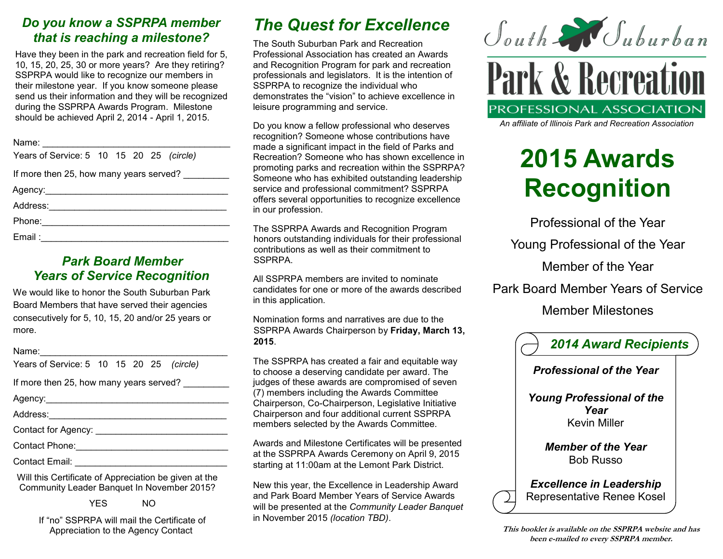## *Do you know a SSPRPA member that is reaching a milestone?*

Have they been in the park and recreation field for 5, 10, 15, 20, 25, 30 or more years? Are they retiring? SSPRPA would like to recognize our members in their milestone year. If you know someone please send us their information and they will be recognized during the SSPRPA Awards Program. Milestone should be achieved April 2, 2014 - April 1, 2015.

| Years of Service: 5 10 15 20 25 (circle) |  |  |  |  |  |  |  |
|------------------------------------------|--|--|--|--|--|--|--|
| If more then 25, how many years served?  |  |  |  |  |  |  |  |
|                                          |  |  |  |  |  |  |  |
|                                          |  |  |  |  |  |  |  |
|                                          |  |  |  |  |  |  |  |
|                                          |  |  |  |  |  |  |  |

### *Park Board Member Years of Service Recognition*

We would like to honor the South Suburban Park Board Members that have served their agencies consecutively for 5, 10, 15, 20 and/or 25 years or more.

Name:\_\_\_\_\_\_\_\_\_\_\_\_\_\_\_\_\_\_\_\_\_\_\_\_\_\_\_\_\_\_\_\_\_\_\_\_\_

| Years of Service: 5 10 15 20 25 (circle) |  |  |  |  |  |
|------------------------------------------|--|--|--|--|--|
|------------------------------------------|--|--|--|--|--|

If more then 25, how many years served?

Agency:\_\_\_\_\_\_\_\_\_\_\_\_\_\_\_\_\_\_\_\_\_\_\_\_\_\_\_\_\_\_\_\_\_\_\_\_

Address:\_\_\_\_\_\_\_\_\_\_\_\_\_\_\_\_\_\_\_\_\_\_\_\_\_\_\_\_\_\_\_\_\_\_\_

Contact for Agency: \_\_\_\_\_\_\_\_\_\_\_\_\_\_\_\_\_\_\_\_\_\_\_\_\_\_

Contact Phone:\_\_\_\_\_\_\_\_\_\_\_\_\_\_\_\_\_\_\_\_\_\_\_\_\_\_\_\_\_\_

Contact Email: **Example 20** 

Will this Certificate of Appreciation be given at the Community Leader Banquet In November 2015?

YES NO

If "no" SSPRPA will mail the Certificate of Appreciation to the Agency Contact

# *The Quest for Excellence*

The South Suburban Park and Recreation Professional Association has created an Awards and Recognition Program for park and recreation professionals and legislators. It is the intention of SSPRPA to recognize the individual who demonstrates the "vision" to achieve excellence in leisure programming and service.

Do you know a fellow professional who deserves recognition? Someone whose contributions have made a significant impact in the field of Parks and Recreation? Someone who has shown excellence in promoting parks and recreation within the SSPRPA? Someone who has exhibited outstanding leadership service and professional commitment? SSPRPA offers several opportunities to recognize excellence in our profession.

The SSPRPA Awards and Recognition Program honors outstanding individuals for their professional contributions as well as their commitment to SSPRPA.

All SSPRPA members are invited to nominate candidates for one or more of the awards described in this application.

Nomination forms and narratives are due to the SSPRPA Awards Chairperson by **Friday, March 13, 2015**.

The SSPRPA has created a fair and equitable way to choose a deserving candidate per award. The judges of these awards are compromised of seven (7) members including the Awards Committee Chairperson, Co-Chairperson, Legislative Initiative Chairperson and four additional current SSPRPA members selected by the Awards Committee.

Awards and Milestone Certificates will be presented at the SSPRPA Awards Ceremony on April 9, 2015 starting at 11:00am at the Lemont Park District.

New this year, the Excellence in Leadership Award and Park Board Member Years of Service Awards will be presented at the *Community Leader Banquet*  in November 2015 *(location TBD)*.



*An affiliate of Illinois Park and Recreation Association*

# **2015 Awards Recognition**

Professional of the Year Young Professional of the Year Member of the Year Park Board Member Years of Service Member Milestones



*Professional of the Year*

*Young Professional of the Year* Kevin Miller

> *Member of the Year* Bob Russo

*Excellence in Leadership* Representative Renee Kosel

**This booklet is available on the SSPRPA website and has been e-mailed to every SSPRPA member.**